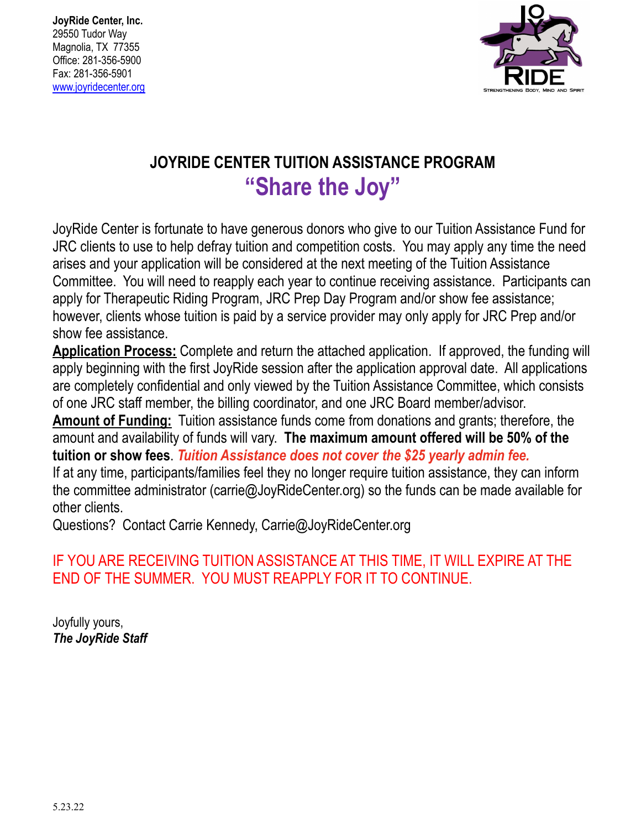**JoyRide Center, Inc.** 29550 Tudor Way Magnolia, TX 77355 Office: 281-356-5900 Fax: 281-356-5901 [www.joyridecenter.org](http://www.joyridecenter.org)



## **JOYRIDE CENTER TUITION ASSISTANCE PROGRAM "Share the Joy"**

JoyRide Center is fortunate to have generous donors who give to our Tuition Assistance Fund for JRC clients to use to help defray tuition and competition costs. You may apply any time the need arises and your application will be considered at the next meeting of the Tuition Assistance Committee. You will need to reapply each year to continue receiving assistance. Participants can apply for Therapeutic Riding Program, JRC Prep Day Program and/or show fee assistance; however, clients whose tuition is paid by a service provider may only apply for JRC Prep and/or show fee assistance.

**Application Process:** Complete and return the attached application. If approved, the funding will apply beginning with the first JoyRide session after the application approval date. All applications are completely confidential and only viewed by the Tuition Assistance Committee, which consists of one JRC staff member, the billing coordinator, and one JRC Board member/advisor.

**Amount of Funding:** Tuition assistance funds come from donations and grants; therefore, the amount and availability of funds will vary. **The maximum amount offered will be 50% of the tuition or show fees**. *Tuition Assistance does not cover the \$25 yearly admin fee.*

If at any time, participants/families feel they no longer require tuition assistance, they can inform the committee administrator (carrie@JoyRideCenter.org) so the funds can be made available for other clients.

Questions? Contact Carrie Kennedy, Carrie@JoyRideCenter.org

## IF YOU ARE RECEIVING TUITION ASSISTANCE AT THIS TIME, IT WILL EXPIRE AT THE END OF THE SUMMER. YOU MUST REAPPLY FOR IT TO CONTINUE.

Joyfully yours, *The JoyRide Staff*